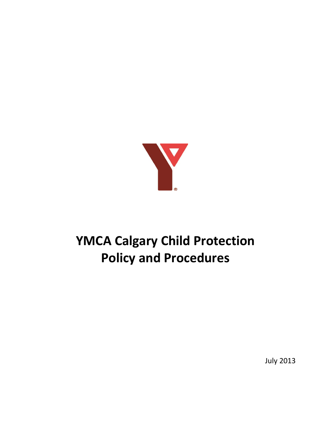

# **YMCA Calgary Child Protection Policy and Procedures**

July 2013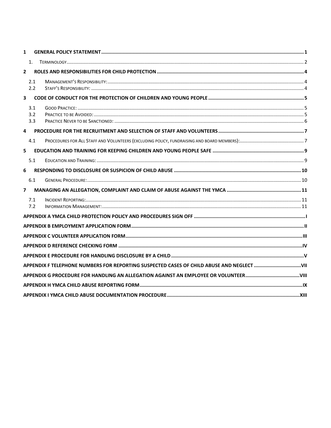| $\mathbf{1}$            |                   |  |
|-------------------------|-------------------|--|
|                         | 1.                |  |
| $\mathbf{2}$            |                   |  |
|                         | 2.1<br>2.2        |  |
| $\overline{\mathbf{3}}$ |                   |  |
|                         | 3.1<br>3.2<br>3.3 |  |
| 4                       |                   |  |
|                         | 4.1               |  |
| 5                       |                   |  |
|                         | 5.1               |  |
| 6                       |                   |  |
|                         | 6.1               |  |
| $\overline{ }$          |                   |  |
|                         | 7.1<br>7.2        |  |
|                         |                   |  |
|                         |                   |  |
|                         |                   |  |
|                         |                   |  |
|                         |                   |  |
|                         |                   |  |
|                         |                   |  |
|                         |                   |  |
|                         |                   |  |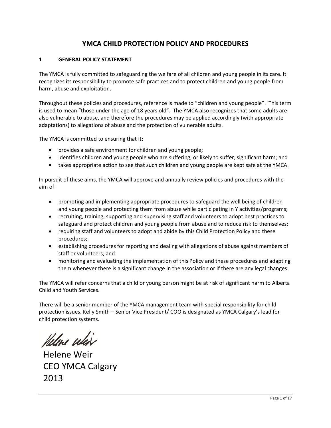# **YMCA CHILD PROTECTION POLICY AND PROCEDURES**

## <span id="page-2-0"></span>**1 GENERAL POLICY STATEMENT**

The YMCA is fully committed to safeguarding the welfare of all children and young people in its care. It recognizes its responsibility to promote safe practices and to protect children and young people from harm, abuse and exploitation.

Throughout these policies and procedures, reference is made to "children and young people". This term is used to mean "those under the age of 18 years old". The YMCA also recognizes that some adults are also vulnerable to abuse, and therefore the procedures may be applied accordingly (with appropriate adaptations) to allegations of abuse and the protection of vulnerable adults.

The YMCA is committed to ensuring that it:

- provides a safe environment for children and young people;
- identifies children and young people who are suffering, or likely to suffer, significant harm; and
- takes appropriate action to see that such children and young people are kept safe at the YMCA.

In pursuit of these aims, the YMCA will approve and annually review policies and procedures with the aim of:

- promoting and implementing appropriate procedures to safeguard the well being of children and young people and protecting them from abuse while participating in Y activities/programs;
- recruiting, training, supporting and supervising staff and volunteers to adopt best practices to safeguard and protect children and young people from abuse and to reduce risk to themselves;
- requiring staff and volunteers to adopt and abide by this Child Protection Policy and these procedures;
- establishing procedures for reporting and dealing with allegations of abuse against members of staff or volunteers; and
- monitoring and evaluating the implementation of this Policy and these procedures and adapting them whenever there is a significant change in the association or if there are any legal changes.

The YMCA will refer concerns that a child or young person might be at risk of significant harm to Alberta Child and Youth Services.

There will be a senior member of the YMCA management team with special responsibility for child protection issues. Kelly Smith – Senior Vice President/ COO is designated as YMCA Calgary's lead for child protection systems.

Helene whis

 Helene Weir CEO YMCA Calgary 2013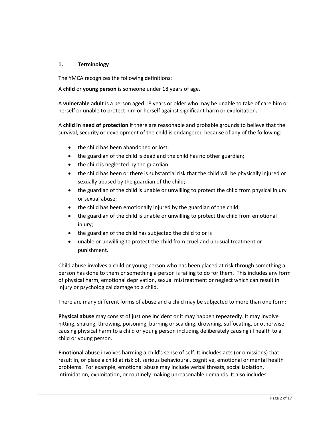## <span id="page-3-0"></span>**1. Terminology**

The YMCA recognizes the following definitions:

A **child** or **young person** is someone under 18 years of age.

A **vulnerable adult** is a person aged 18 years or older who may be unable to take of care him or herself or unable to protect him or herself against significant harm or exploitation**.**

A **child in need of protection** if there are reasonable and probable grounds to believe that the survival, security or development of the child is endangered because of any of the following:

- the child has been abandoned or lost;
- the guardian of the child is dead and the child has no other guardian;
- the child is neglected by the guardian;
- the child has been or there is substantial risk that the child will be physically injured or sexually abused by the guardian of the child;
- the guardian of the child is unable or unwilling to protect the child from physical injury or sexual abuse;
- the child has been emotionally injured by the guardian of the child;
- the guardian of the child is unable or unwilling to protect the child from emotional injury;
- the guardian of the child has subjected the child to or is
- unable or unwilling to protect the child from cruel and unusual treatment or punishment.

Child abuse involves a child or young person who has been placed at risk through something a person has done to them or something a person is failing to do for them. This includes any form of physical harm, emotional deprivation, sexual mistreatment or neglect which can result in injury or psychological damage to a child.

There are many different forms of abuse and a child may be subjected to more than one form:

**Physical abuse** may consist of just one incident or it may happen repeatedly. It may involve hitting, shaking, throwing, poisoning, burning or scalding, drowning, suffocating, or otherwise causing physical harm to a child or young person including deliberately causing ill health to a child or young person.

**Emotional abuse** involves harming a child's sense of self. It includes acts (or omissions) that result in, or place a child at risk of, serious behavioural, cognitive, emotional or mental health problems. For example, emotional abuse may include verbal threats, social isolation, intimidation, exploitation, or routinely making unreasonable demands. It also includes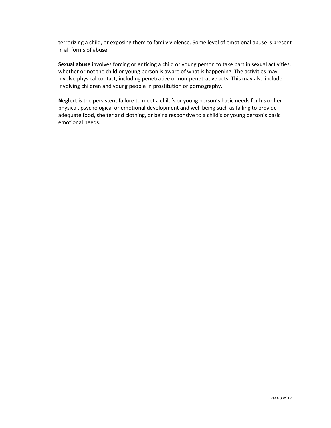terrorizing a child, or exposing them to family violence. Some level of emotional abuse is present in all forms of abuse.

**Sexual abuse** involves forcing or enticing a child or young person to take part in sexual activities, whether or not the child or young person is aware of what is happening. The activities may involve physical contact, including penetrative or non-penetrative acts. This may also include involving children and young people in prostitution or pornography.

**Neglect** is the persistent failure to meet a child's or young person's basic needs for his or her physical, psychological or emotional development and well being such as failing to provide adequate food, shelter and clothing, or being responsive to a child's or young person's basic emotional needs.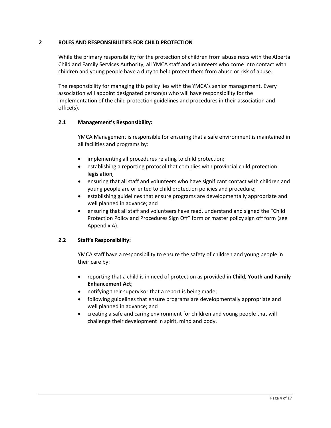## <span id="page-5-0"></span>**2 ROLES AND RESPONSIBILITIES FOR CHILD PROTECTION**

While the primary responsibility for the protection of children from abuse rests with the Alberta Child and Family Services Authority, all YMCA staff and volunteers who come into contact with children and young people have a duty to help protect them from abuse or risk of abuse.

The responsibility for managing this policy lies with the YMCA's senior management. Every association will appoint designated person(s) who will have responsibility for the implementation of the child protection guidelines and procedures in their association and office(s).

## <span id="page-5-1"></span>**2.1 Management's Responsibility:**

YMCA Management is responsible for ensuring that a safe environment is maintained in all facilities and programs by:

- implementing all procedures relating to child protection;
- establishing a reporting protocol that complies with provincial child protection legislation;
- ensuring that all staff and volunteers who have significant contact with children and young people are oriented to child protection policies and procedure;
- establishing guidelines that ensure programs are developmentally appropriate and well planned in advance; and
- ensuring that all staff and volunteers have read, understand and signed the "Child Protection Policy and Procedures Sign Off" form or master policy sign off form (see Appendix A).

## <span id="page-5-2"></span>**2.2 Staff's Responsibility:**

YMCA staff have a responsibility to ensure the safety of children and young people in their care by:

- reporting that a child is in need of protection as provided in **Child, Youth and Family Enhancement Act**;
- notifying their supervisor that a report is being made;
- following guidelines that ensure programs are developmentally appropriate and well planned in advance; and
- creating a safe and caring environment for children and young people that will challenge their development in spirit, mind and body.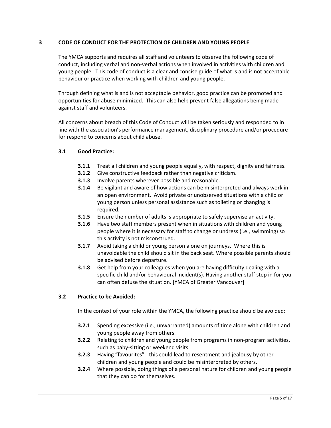## <span id="page-6-0"></span>**3 CODE OF CONDUCT FOR THE PROTECTION OF CHILDREN AND YOUNG PEOPLE**

The YMCA supports and requires all staff and volunteers to observe the following code of conduct, including verbal and non-verbal actions when involved in activities with children and young people. This code of conduct is a clear and concise guide of what is and is not acceptable behaviour or practice when working with children and young people.

Through defining what is and is not acceptable behavior, good practice can be promoted and opportunities for abuse minimized. This can also help prevent false allegations being made against staff and volunteers.

All concerns about breach of this Code of Conduct will be taken seriously and responded to in line with the association's performance management, disciplinary procedure and/or procedure for respond to concerns about child abuse.

#### <span id="page-6-1"></span>**3.1 Good Practice:**

- **3.1.1** Treat all children and young people equally, with respect, dignity and fairness.
- **3.1.2** Give constructive feedback rather than negative criticism.
- **3.1.3** Involve parents wherever possible and reasonable.
- **3.1.4** Be vigilant and aware of how actions can be misinterpreted and always work in an open environment. Avoid private or unobserved situations with a child or young person unless personal assistance such as toileting or changing is required.
- **3.1.5** Ensure the number of adults is appropriate to safely supervise an activity.
- **3.1.6** Have two staff members present when in situations with children and young people where it is necessary for staff to change or undress (i.e., swimming) so this activity is not misconstrued.
- **3.1.7** Avoid taking a child or young person alone on journeys. Where this is unavoidable the child should sit in the back seat. Where possible parents should be advised before departure.
- **3.1.8** Get help from your colleagues when you are having difficulty dealing with a specific child and/or behavioural incident(s). Having another staff step in for you can often defuse the situation. [YMCA of Greater Vancouver]

#### <span id="page-6-2"></span>**3.2 Practice to be Avoided:**

In the context of your role within the YMCA, the following practice should be avoided:

- **3.2.1** Spending excessive (i.e., unwarranted) amounts of time alone with children and young people away from others.
- **3.2.2** Relating to children and young people from programs in non-program activities, such as baby-sitting or weekend visits.
- **3.2.3** Having "favourites" this could lead to resentment and jealousy by other children and young people and could be misinterpreted by others.
- **3.2.4** Where possible, doing things of a personal nature for children and young people that they can do for themselves.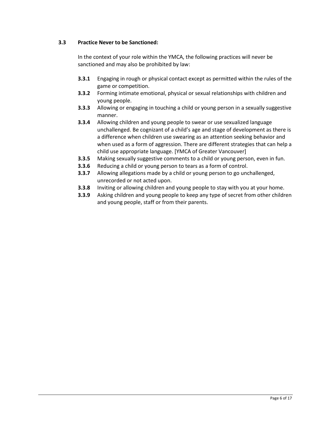## <span id="page-7-0"></span>**3.3 Practice Never to be Sanctioned:**

In the context of your role within the YMCA, the following practices will never be sanctioned and may also be prohibited by law:

- **3.3.1** Engaging in rough or physical contact except as permitted within the rules of the game or competition.
- **3.3.2** Forming intimate emotional, physical or sexual relationships with children and young people.
- **3.3.3** Allowing or engaging in touching a child or young person in a sexually suggestive manner.
- **3.3.4** Allowing children and young people to swear or use sexualized language unchallenged. Be cognizant of a child's age and stage of development as there is a difference when children use swearing as an attention seeking behavior and when used as a form of aggression. There are different strategies that can help a child use appropriate language. [YMCA of Greater Vancouver]
- **3.3.5** Making sexually suggestive comments to a child or young person, even in fun.
- **3.3.6** Reducing a child or young person to tears as a form of control.
- **3.3.7** Allowing allegations made by a child or young person to go unchallenged, unrecorded or not acted upon.
- **3.3.8** Inviting or allowing children and young people to stay with you at your home.
- **3.3.9** Asking children and young people to keep any type of secret from other children and young people, staff or from their parents.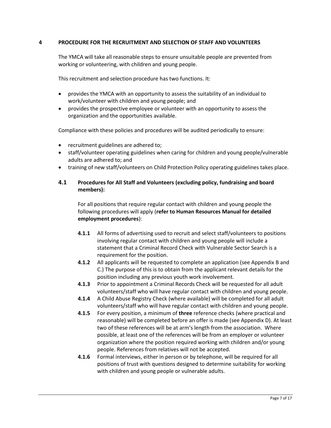### <span id="page-8-0"></span>**4 PROCEDURE FOR THE RECRUITMENT AND SELECTION OF STAFF AND VOLUNTEERS**

The YMCA will take all reasonable steps to ensure unsuitable people are prevented from working or volunteering, with children and young people.

This recruitment and selection procedure has two functions. It:

- provides the YMCA with an opportunity to assess the suitability of an individual to work/volunteer with children and young people; and
- provides the prospective employee or volunteer with an opportunity to assess the organization and the opportunities available.

Compliance with these policies and procedures will be audited periodically to ensure:

- recruitment guidelines are adhered to;
- staff/volunteer operating guidelines when caring for children and young people/vulnerable adults are adhered to; and
- training of new staff/volunteers on Child Protection Policy operating guidelines takes place.

## <span id="page-8-1"></span>**4.1 Procedures for All Staff and Volunteers (excluding policy, fundraising and board members):**

For all positions that require regular contact with children and young people the following procedures will apply (**refer to Human Resources Manual for detailed employment procedures**):

- **4.1.1** All forms of advertising used to recruit and select staff/volunteers to positions involving regular contact with children and young people will include a statement that a Criminal Record Check with Vulnerable Sector Search is a requirement for the position.
- **4.1.2** All applicants will be requested to complete an application (see Appendix B and C.) The purpose of this is to obtain from the applicant relevant details for the position including any previous youth work involvement.
- **4.1.3** Prior to appointment a Criminal Records Check will be requested for all adult volunteers/staff who will have regular contact with children and young people.
- **4.1.4** A Child Abuse Registry Check (where available) will be completed for all adult volunteers/staff who will have regular contact with children and young people.
- **4.1.5** For every position, a minimum of **three** reference checks (where practical and reasonable) will be completed before an offer is made (see Appendix D). At least two of these references will be at arm's length from the association. Where possible, at least one of the references will be from an employer or volunteer organization where the position required working with children and/or young people. References from relatives will not be accepted.
- **4.1.6** Formal interviews, either in person or by telephone, will be required for all positions of trust with questions designed to determine suitability for working with children and young people or vulnerable adults.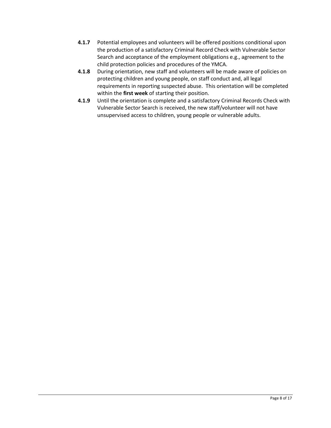- **4.1.7** Potential employees and volunteers will be offered positions conditional upon the production of a satisfactory Criminal Record Check with Vulnerable Sector Search and acceptance of the employment obligations e.g., agreement to the child protection policies and procedures of the YMCA.
- **4.1.8** During orientation, new staff and volunteers will be made aware of policies on protecting children and young people, on staff conduct and, all legal requirements in reporting suspected abuse. This orientation will be completed within the **first week** of starting their position.
- **4.1.9** Until the orientation is complete and a satisfactory Criminal Records Check with Vulnerable Sector Search is received, the new staff/volunteer will not have unsupervised access to children, young people or vulnerable adults.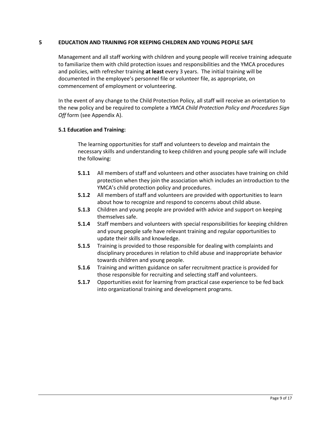### <span id="page-10-0"></span>**5 EDUCATION AND TRAINING FOR KEEPING CHILDREN AND YOUNG PEOPLE SAFE**

Management and all staff working with children and young people will receive training adequate to familiarize them with child protection issues and responsibilities and the YMCA procedures and policies, with refresher training **at least** every 3 years. The initial training will be documented in the employee's personnel file or volunteer file, as appropriate, on commencement of employment or volunteering.

In the event of any change to the Child Protection Policy, all staff will receive an orientation to the new policy and be required to complete a *YMCA Child Protection Policy and Procedures Sign Off* form (see Appendix A).

## <span id="page-10-1"></span>**5.1 Education and Training:**

The learning opportunities for staff and volunteers to develop and maintain the necessary skills and understanding to keep children and young people safe will include the following:

- **5.1.1** All members of staff and volunteers and other associates have training on child protection when they join the association which includes an introduction to the YMCA's child protection policy and procedures.
- **5.1.2** All members of staff and volunteers are provided with opportunities to learn about how to recognize and respond to concerns about child abuse.
- **5.1.3** Children and young people are provided with advice and support on keeping themselves safe.
- **5.1.4** Staff members and volunteers with special responsibilities for keeping children and young people safe have relevant training and regular opportunities to update their skills and knowledge.
- **5.1.5** Training is provided to those responsible for dealing with complaints and disciplinary procedures in relation to child abuse and inappropriate behavior towards children and young people.
- **5.1.6** Training and written guidance on safer recruitment practice is provided for those responsible for recruiting and selecting staff and volunteers.
- **5.1.7** Opportunities exist for learning from practical case experience to be fed back into organizational training and development programs.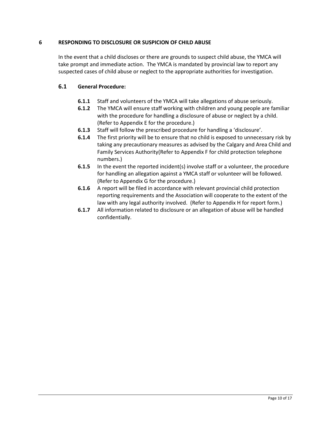## <span id="page-11-0"></span>**6 RESPONDING TO DISCLOSURE OR SUSPICION OF CHILD ABUSE**

In the event that a child discloses or there are grounds to suspect child abuse, the YMCA will take prompt and immediate action. The YMCA is mandated by provincial law to report any suspected cases of child abuse or neglect to the appropriate authorities for investigation.

## <span id="page-11-1"></span>**6.1 General Procedure:**

- **6.1.1** Staff and volunteers of the YMCA will take allegations of abuse seriously.
- **6.1.2** The YMCA will ensure staff working with children and young people are familiar with the procedure for handling a disclosure of abuse or neglect by a child. (Refer to Appendix E for the procedure.)
- **6.1.3** Staff will follow the prescribed procedure for handling a 'disclosure'.
- **6.1.4** The first priority will be to ensure that no child is exposed to unnecessary risk by taking any precautionary measures as advised by the Calgary and Area Child and Family Services Authority(Refer to Appendix F for child protection telephone numbers.)
- **6.1.5** In the event the reported incident(s) involve staff or a volunteer, the procedure for handling an allegation against a YMCA staff or volunteer will be followed. (Refer to Appendix G for the procedure.)
- **6.1.6** A report will be filed in accordance with relevant provincial child protection reporting requirements and the Association will cooperate to the extent of the law with any legal authority involved. (Refer to Appendix H for report form.)
- **6.1.7** All information related to disclosure or an allegation of abuse will be handled confidentially.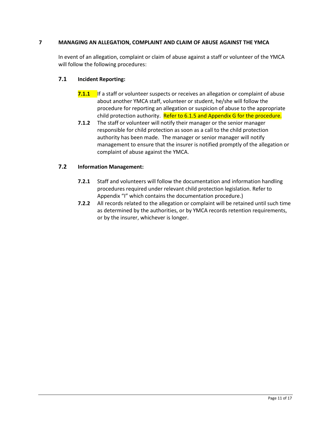## <span id="page-12-0"></span>**7 MANAGING AN ALLEGATION, COMPLAINT AND CLAIM OF ABUSE AGAINST THE YMCA**

In event of an allegation, complaint or claim of abuse against a staff or volunteer of the YMCA will follow the following procedures:

## <span id="page-12-1"></span>**7.1 Incident Reporting:**

- **7.1.1** If a staff or volunteer suspects or receives an allegation or complaint of abuse about another YMCA staff, volunteer or student, he/she will follow the procedure for reporting an allegation or suspicion of abuse to the appropriate child protection authority. Refer to 6.1.5 and Appendix G for the procedure.
- **7.1.2** The staff or volunteer will notify their manager or the senior manager responsible for child protection as soon as a call to the child protection authority has been made. The manager or senior manager will notify management to ensure that the insurer is notified promptly of the allegation or complaint of abuse against the YMCA.

## <span id="page-12-2"></span>**7.2 Information Management:**

- **7.2.1** Staff and volunteers will follow the documentation and information handling procedures required under relevant child protection legislation. Refer to Appendix "I" which contains the documentation procedure.)
- **7.2.2** All records related to the allegation or complaint will be retained until such time as determined by the authorities, or by YMCA records retention requirements, or by the insurer, whichever is longer.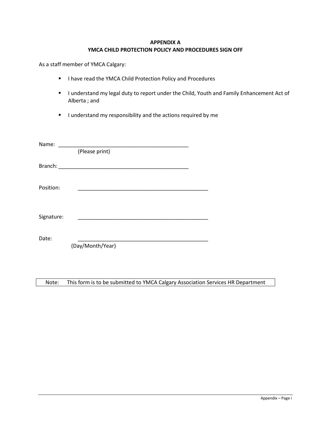### **APPENDIX A YMCA CHILD PROTECTION POLICY AND PROCEDURES SIGN OFF**

<span id="page-13-0"></span>As a staff member of YMCA Calgary:

- **I have read the YMCA Child Protection Policy and Procedures**
- I understand my legal duty to report under the Child, Youth and Family Enhancement Act of Alberta ; and
- **I** understand my responsibility and the actions required by me

| Name:      |                                                 |  |
|------------|-------------------------------------------------|--|
|            | (Please print)                                  |  |
| Branch:    | <u> 1989 - Johann John Stone, mars et al. (</u> |  |
| Position:  |                                                 |  |
| Signature: |                                                 |  |
| Date:      | (Day/Month/Year)                                |  |
|            |                                                 |  |

Note: This form is to be submitted to YMCA Calgary Association Services HR Department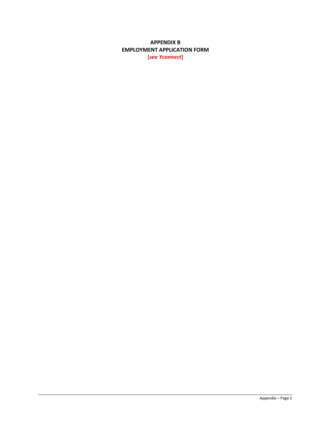## <span id="page-14-0"></span>**APPENDIX B EMPLOYMENT APPLICATION FORM** [*see Yconnect*]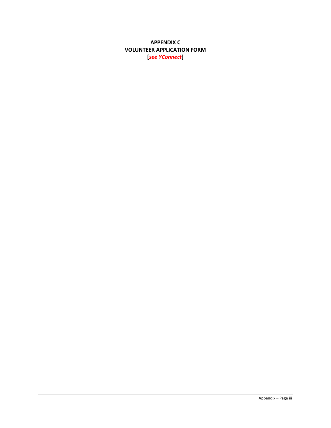## <span id="page-15-0"></span>**APPENDIX C VOLUNTEER APPLICATION FORM** [see YConnect]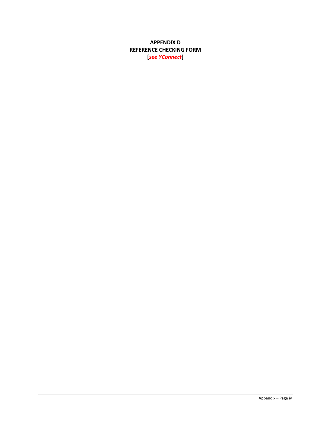## <span id="page-16-0"></span>**APPENDIX D REFERENCE CHECKING FORM [***see YConnect***]**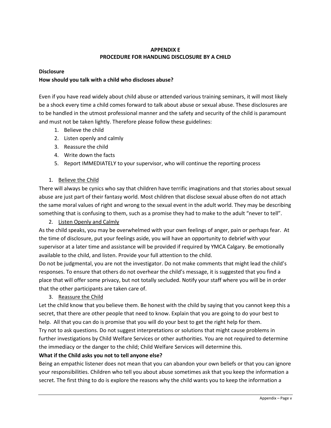## **APPENDIX E PROCEDURE FOR HANDLING DISCLOSURE BY A CHILD**

## <span id="page-17-0"></span>**Disclosure**

## **How should you talk with a child who discloses abuse?**

Even if you have read widely about child abuse or attended various training seminars, it will most likely be a shock every time a child comes forward to talk about abuse or sexual abuse. These disclosures are to be handled in the utmost professional manner and the safety and security of the child is paramount and must not be taken lightly. Therefore please follow these guidelines:

- 1. Believe the child
- 2. Listen openly and calmly
- 3. Reassure the child
- 4. Write down the facts
- 5. Report IMMEDIATELY to your supervisor, who will continue the reporting process

## 1. Believe the Child

There will always be cynics who say that children have terrific imaginations and that stories about sexual abuse are just part of their fantasy world. Most children that disclose sexual abuse often do not attach the same moral values of right and wrong to the sexual event in the adult world. They may be describing something that is confusing to them, such as a promise they had to make to the adult "never to tell".

## 2. Listen Openly and Calmly

As the child speaks, you may be overwhelmed with your own feelings of anger, pain or perhaps fear. At the time of disclosure, put your feelings aside, you will have an opportunity to debrief with your supervisor at a later time and assistance will be provided if required by YMCA Calgary. Be emotionally available to the child, and listen. Provide your full attention to the child.

Do not be judgmental, you are not the investigator. Do not make comments that might lead the child's responses. To ensure that others do not overhear the child's message, it is suggested that you find a place that will offer some privacy, but not totally secluded. Notify your staff where you will be in order that the other participants are taken care of.

## 3. Reassure the Child

Let the child know that you believe them. Be honest with the child by saying that you cannot keep this a secret, that there are other people that need to know. Explain that you are going to do your best to help. All that you can do is promise that you will do your best to get the right help for them.

Try not to ask questions. Do not suggest interpretations or solutions that might cause problems in further investigations by Child Welfare Services or other authorities. You are not required to determine the immediacy or the danger to the child; Child Welfare Services will determine this.

## **What if the Child asks you not to tell anyone else?**

Being an empathic listener does not mean that you can abandon your own beliefs or that you can ignore your responsibilities. Children who tell you about abuse sometimes ask that you keep the information a secret. The first thing to do is explore the reasons why the child wants you to keep the information a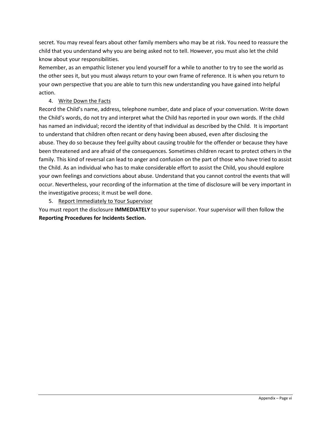secret. You may reveal fears about other family members who may be at risk. You need to reassure the child that you understand why you are being asked not to tell. However, you must also let the child know about your responsibilities.

Remember, as an empathic listener you lend yourself for a while to another to try to see the world as the other sees it, but you must always return to your own frame of reference. It is when you return to your own perspective that you are able to turn this new understanding you have gained into helpful action.

## 4. Write Down the Facts

Record the Child's name, address, telephone number, date and place of your conversation. Write down the Child's words, do not try and interpret what the Child has reported in your own words. If the child has named an individual; record the identity of that individual as described by the Child. It is important to understand that children often recant or deny having been abused, even after disclosing the abuse. They do so because they feel guilty about causing trouble for the offender or because they have been threatened and are afraid of the consequences. Sometimes children recant to protect others in the family. This kind of reversal can lead to anger and confusion on the part of those who have tried to assist the Child. As an individual who has to make considerable effort to assist the Child, you should explore your own feelings and convictions about abuse. Understand that you cannot control the events that will occur. Nevertheless, your recording of the information at the time of disclosure will be very important in the investigative process; it must be well done.

## 5. Report Immediately to Your Supervisor

You must report the disclosure **IMMEDIATELY** to your supervisor. Your supervisor will then follow the **Reporting Procedures for Incidents Section.**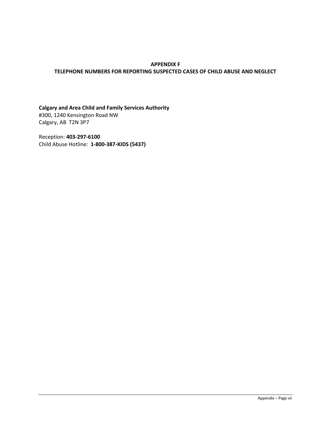#### <span id="page-19-0"></span>**APPENDIX F TELEPHONE NUMBERS FOR REPORTING SUSPECTED CASES OF CHILD ABUSE AND NEGLECT**

**Calgary and Area Child and Family Services Authority** #300, 1240 Kensington Road NW Calgary, AB T2N 3P7

Reception: **403-297-6100** Child Abuse Hotline: **1-800-387-KIDS (5437)**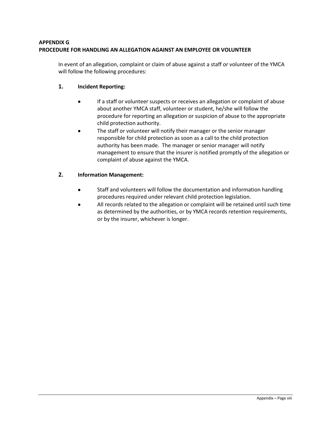## <span id="page-20-0"></span>**APPENDIX G PROCEDURE FOR HANDLING AN ALLEGATION AGAINST AN EMPLOYEE OR VOLUNTEER**

In event of an allegation, complaint or claim of abuse against a staff or volunteer of the YMCA will follow the following procedures:

## **1. Incident Reporting:**

- If a staff or volunteer suspects or receives an allegation or complaint of abuse about another YMCA staff, volunteer or student, he/she will follow the procedure for reporting an allegation or suspicion of abuse to the appropriate child protection authority.
- The staff or volunteer will notify their manager or the senior manager responsible for child protection as soon as a call to the child protection authority has been made. The manager or senior manager will notify management to ensure that the insurer is notified promptly of the allegation or complaint of abuse against the YMCA.

## **2. Information Management:**

- Staff and volunteers will follow the documentation and information handling procedures required under relevant child protection legislation.
- All records related to the allegation or complaint will be retained until such time as determined by the authorities, or by YMCA records retention requirements, or by the insurer, whichever is longer.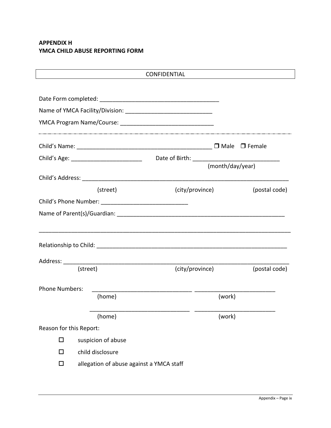## <span id="page-21-0"></span>**APPENDIX H YMCA CHILD ABUSE REPORTING FORM**

|                         | <b>CONFIDENTIAL</b> |                  |               |  |  |  |
|-------------------------|---------------------|------------------|---------------|--|--|--|
|                         |                     |                  |               |  |  |  |
|                         |                     |                  |               |  |  |  |
|                         |                     |                  |               |  |  |  |
|                         |                     |                  |               |  |  |  |
|                         |                     |                  |               |  |  |  |
|                         |                     | (month/day/year) |               |  |  |  |
|                         |                     |                  |               |  |  |  |
|                         | (street)            | (city/province)  | (postal code) |  |  |  |
|                         |                     |                  |               |  |  |  |
|                         |                     |                  |               |  |  |  |
|                         |                     |                  |               |  |  |  |
|                         |                     |                  |               |  |  |  |
|                         |                     |                  |               |  |  |  |
|                         |                     |                  |               |  |  |  |
|                         |                     |                  |               |  |  |  |
|                         | (street)            | (city/province)  | (postal code) |  |  |  |
| <b>Phone Numbers:</b>   |                     |                  |               |  |  |  |
|                         | (home)              | (work)           |               |  |  |  |
|                         | (home)              | (work)           |               |  |  |  |
| Reason for this Report: |                     |                  |               |  |  |  |
| □                       | suspicion of abuse  |                  |               |  |  |  |
| $\Box$                  | child disclosure    |                  |               |  |  |  |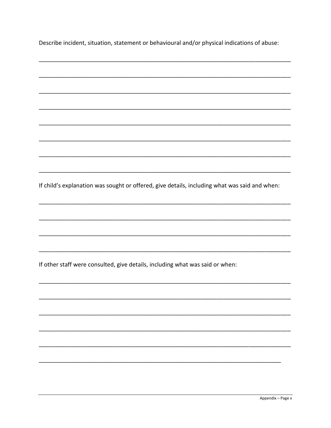Describe incident, situation, statement or behavioural and/or physical indications of abuse:

If child's explanation was sought or offered, give details, including what was said and when: If other staff were consulted, give details, including what was said or when: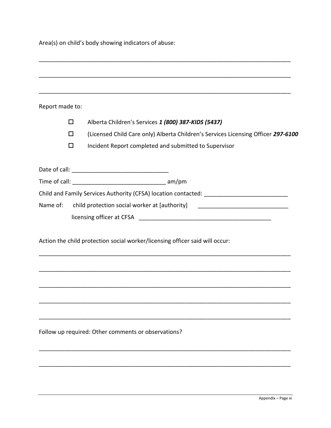Area(s) on child's body showing indicators of abuse:

| Report made to: |                                                                                   |
|-----------------|-----------------------------------------------------------------------------------|
| □               | Alberta Children's Services 1 (800) 387-KIDS (5437)                               |
| $\Box$          | (Licensed Child Care only) Alberta Children's Services Licensing Officer 297-6100 |
| □               | Incident Report completed and submitted to Supervisor                             |
|                 |                                                                                   |
|                 |                                                                                   |
|                 |                                                                                   |
| Name of:        | child protection social worker at [authority]                                     |
|                 |                                                                                   |
|                 | Action the child protection social worker/licensing officer said will occur:      |
|                 |                                                                                   |
|                 |                                                                                   |
|                 | Follow up required: Other comments or observations?                               |
|                 |                                                                                   |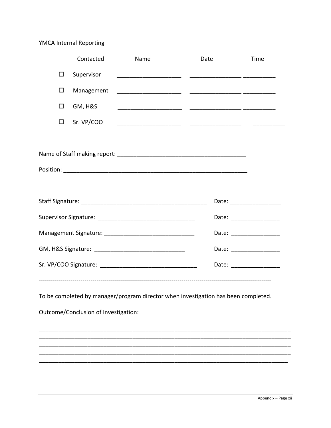# YMCA Internal Reporting

|        | Contacted                            | Name | Date                                                                               | Time                     |
|--------|--------------------------------------|------|------------------------------------------------------------------------------------|--------------------------|
| □      | Supervisor                           |      |                                                                                    |                          |
| □      | Management                           |      |                                                                                    |                          |
| □      | <b>GM, H&amp;S</b>                   |      |                                                                                    |                          |
| $\Box$ | Sr. VP/COO                           |      |                                                                                    |                          |
|        |                                      |      |                                                                                    |                          |
|        |                                      |      |                                                                                    |                          |
|        |                                      |      |                                                                                    |                          |
|        |                                      |      |                                                                                    | Date: __________________ |
|        |                                      |      |                                                                                    |                          |
|        |                                      |      |                                                                                    | Date: ________________   |
|        |                                      |      |                                                                                    | Date: __________________ |
|        |                                      |      |                                                                                    | Date: __________________ |
|        |                                      |      |                                                                                    |                          |
|        |                                      |      | To be completed by manager/program director when investigation has been completed. |                          |
|        | Outcome/Conclusion of Investigation: |      |                                                                                    |                          |
|        |                                      |      |                                                                                    |                          |
|        |                                      |      |                                                                                    |                          |
|        |                                      |      |                                                                                    |                          |